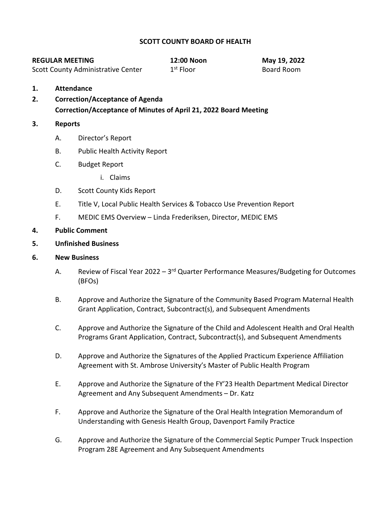## **SCOTT COUNTY BOARD OF HEALTH**

| <b>REGULAR MEETING</b>                    | 12:00 Noon  | May 19, 2022 |
|-------------------------------------------|-------------|--------------|
| <b>Scott County Administrative Center</b> | $1st$ Floor | Board Room   |

- **1. Attendance**
- **2. Correction/Acceptance of Agenda Correction/Acceptance of Minutes of April 21, 2022 Board Meeting**

### **3. Reports**

- A. Director's Report
- B. Public Health Activity Report
- C. Budget Report
	- i. Claims
- D. Scott County Kids Report
- E. Title V, Local Public Health Services & Tobacco Use Prevention Report
- F. MEDIC EMS Overview Linda Frederiksen, Director, MEDIC EMS

#### **4. Public Comment**

**5. Unfinished Business**

#### **6. New Business**

- A. Review of Fiscal Year 2022  $3<sup>rd</sup>$  Quarter Performance Measures/Budgeting for Outcomes (BFOs)
- B. Approve and Authorize the Signature of the Community Based Program Maternal Health Grant Application, Contract, Subcontract(s), and Subsequent Amendments
- C. Approve and Authorize the Signature of the Child and Adolescent Health and Oral Health Programs Grant Application, Contract, Subcontract(s), and Subsequent Amendments
- D. Approve and Authorize the Signatures of the Applied Practicum Experience Affiliation Agreement with St. Ambrose University's Master of Public Health Program
- E. Approve and Authorize the Signature of the FY'23 Health Department Medical Director Agreement and Any Subsequent Amendments – Dr. Katz
- F. Approve and Authorize the Signature of the Oral Health Integration Memorandum of Understanding with Genesis Health Group, Davenport Family Practice
- G. Approve and Authorize the Signature of the Commercial Septic Pumper Truck Inspection Program 28E Agreement and Any Subsequent Amendments